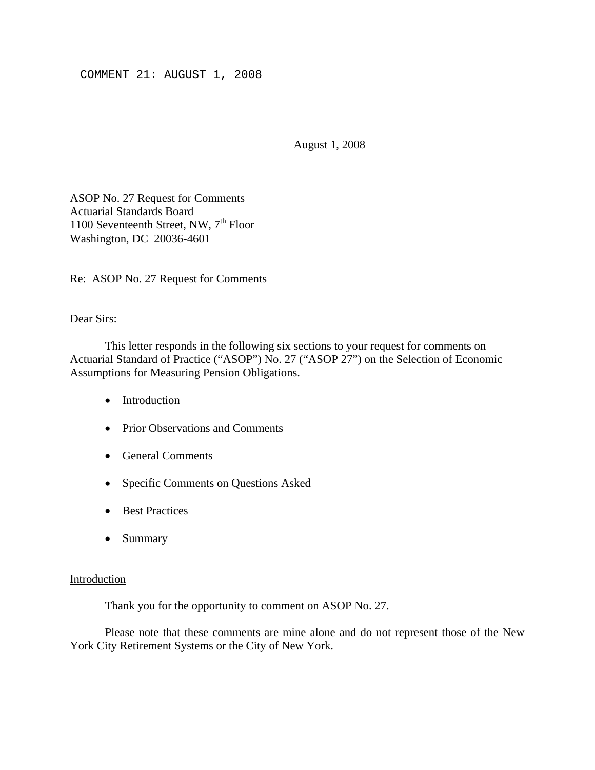COMMENT 21: AUGUST 1, 2008

August 1, 2008

ASOP No. 27 Request for Comments Actuarial Standards Board 1100 Seventeenth Street, NW,  $7<sup>th</sup>$  Floor Washington, DC 20036-4601

Re: ASOP No. 27 Request for Comments

### Dear Sirs:

This letter responds in the following six sections to your request for comments on Actuarial Standard of Practice ("ASOP") No. 27 ("ASOP 27") on the Selection of Economic Assumptions for Measuring Pension Obligations.

- Introduction
- Prior Observations and Comments
- General Comments
- Specific Comments on Questions Asked
- Best Practices
- Summary

#### Introduction

Thank you for the opportunity to comment on ASOP No. 27.

 Please note that these comments are mine alone and do not represent those of the New York City Retirement Systems or the City of New York.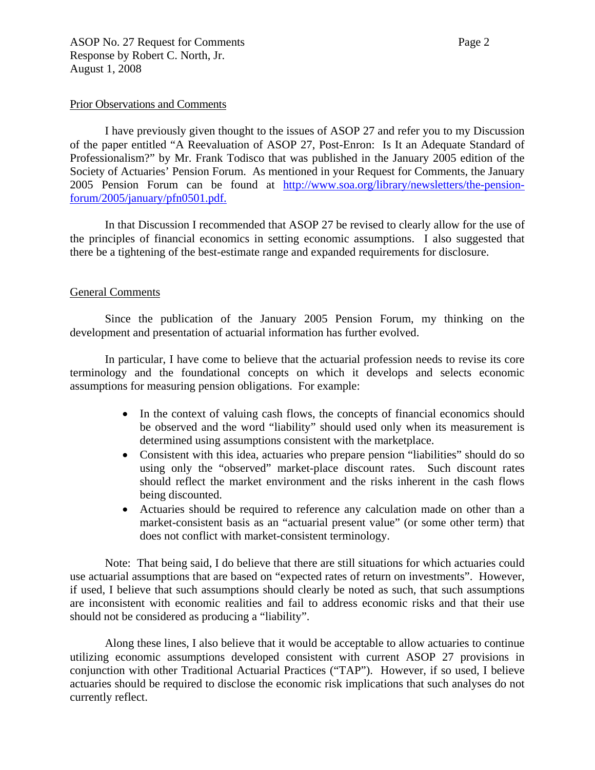I have previously given thought to the issues of ASOP 27 and refer you to my Discussion of the paper entitled "A Reevaluation of ASOP 27, Post-Enron: Is It an Adequate Standard of Professionalism?" by Mr. Frank Todisco that was published in the January 2005 edition of the Society of Actuaries' Pension Forum. As mentioned in your Request for Comments, the January 2005 Pension Forum can be found at http://www.soa.org/library/newsletters/the-pensionforum/2005/january/pfn0501.pdf.

In that Discussion I recommended that ASOP 27 be revised to clearly allow for the use of the principles of financial economics in setting economic assumptions. I also suggested that there be a tightening of the best-estimate range and expanded requirements for disclosure.

## General Comments

Since the publication of the January 2005 Pension Forum, my thinking on the development and presentation of actuarial information has further evolved.

In particular, I have come to believe that the actuarial profession needs to revise its core terminology and the foundational concepts on which it develops and selects economic assumptions for measuring pension obligations. For example:

- In the context of valuing cash flows, the concepts of financial economics should be observed and the word "liability" should used only when its measurement is determined using assumptions consistent with the marketplace.
- Consistent with this idea, actuaries who prepare pension "liabilities" should do so using only the "observed" market-place discount rates. Such discount rates should reflect the market environment and the risks inherent in the cash flows being discounted.
- Actuaries should be required to reference any calculation made on other than a market-consistent basis as an "actuarial present value" (or some other term) that does not conflict with market-consistent terminology.

 Note: That being said, I do believe that there are still situations for which actuaries could use actuarial assumptions that are based on "expected rates of return on investments". However, if used, I believe that such assumptions should clearly be noted as such, that such assumptions are inconsistent with economic realities and fail to address economic risks and that their use should not be considered as producing a "liability".

 Along these lines, I also believe that it would be acceptable to allow actuaries to continue utilizing economic assumptions developed consistent with current ASOP 27 provisions in conjunction with other Traditional Actuarial Practices ("TAP"). However, if so used, I believe actuaries should be required to disclose the economic risk implications that such analyses do not currently reflect.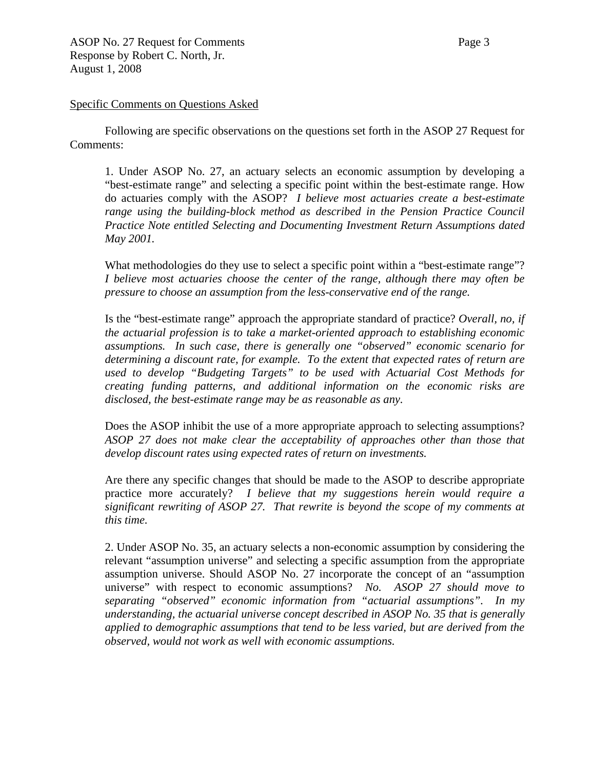### Specific Comments on Questions Asked

Following are specific observations on the questions set forth in the ASOP 27 Request for Comments:

1. Under ASOP No. 27, an actuary selects an economic assumption by developing a "best-estimate range" and selecting a specific point within the best-estimate range. How do actuaries comply with the ASOP? *I believe most actuaries create a best-estimate*  range using the building-block method as described in the Pension Practice Council *Practice Note entitled Selecting and Documenting Investment Return Assumptions dated May 2001.* 

What methodologies do they use to select a specific point within a "best-estimate range"? *I believe most actuaries choose the center of the range, although there may often be pressure to choose an assumption from the less-conservative end of the range.* 

Is the "best-estimate range" approach the appropriate standard of practice? *Overall, no, if the actuarial profession is to take a market-oriented approach to establishing economic assumptions. In such case, there is generally one "observed" economic scenario for determining a discount rate, for example. To the extent that expected rates of return are used to develop "Budgeting Targets" to be used with Actuarial Cost Methods for creating funding patterns, and additional information on the economic risks are disclosed, the best-estimate range may be as reasonable as any.* 

Does the ASOP inhibit the use of a more appropriate approach to selecting assumptions? *ASOP 27 does not make clear the acceptability of approaches other than those that develop discount rates using expected rates of return on investments.* 

Are there any specific changes that should be made to the ASOP to describe appropriate practice more accurately? *I believe that my suggestions herein would require a significant rewriting of ASOP 27. That rewrite is beyond the scope of my comments at this time.* 

2. Under ASOP No. 35, an actuary selects a non-economic assumption by considering the relevant "assumption universe" and selecting a specific assumption from the appropriate assumption universe. Should ASOP No. 27 incorporate the concept of an "assumption universe" with respect to economic assumptions? *No. ASOP 27 should move to separating "observed" economic information from "actuarial assumptions". In my understanding, the actuarial universe concept described in ASOP No. 35 that is generally applied to demographic assumptions that tend to be less varied, but are derived from the observed, would not work as well with economic assumptions.*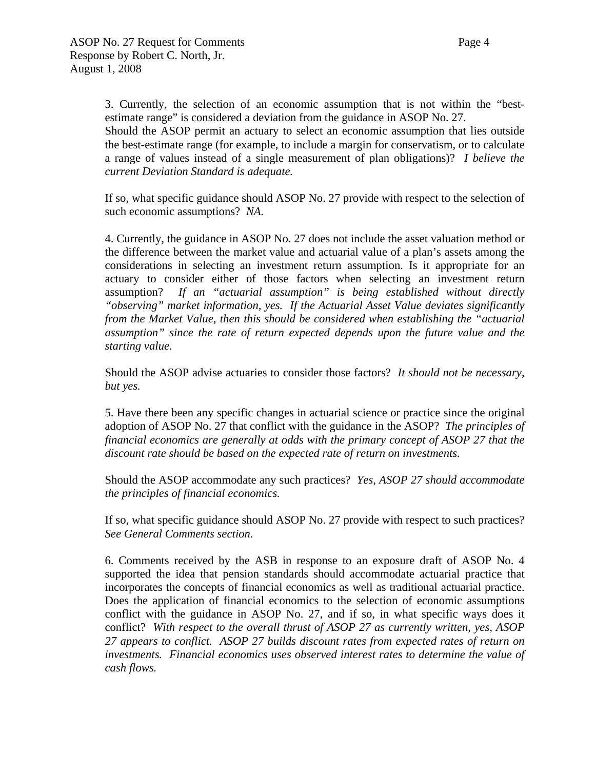3. Currently, the selection of an economic assumption that is not within the "bestestimate range" is considered a deviation from the guidance in ASOP No. 27.

Should the ASOP permit an actuary to select an economic assumption that lies outside the best-estimate range (for example, to include a margin for conservatism, or to calculate a range of values instead of a single measurement of plan obligations)? *I believe the current Deviation Standard is adequate.* 

If so, what specific guidance should ASOP No. 27 provide with respect to the selection of such economic assumptions? *NA.*

4. Currently, the guidance in ASOP No. 27 does not include the asset valuation method or the difference between the market value and actuarial value of a plan's assets among the considerations in selecting an investment return assumption. Is it appropriate for an actuary to consider either of those factors when selecting an investment return assumption? *If an "actuarial assumption" is being established without directly "observing" market information, yes. If the Actuarial Asset Value deviates significantly from the Market Value, then this should be considered when establishing the "actuarial assumption" since the rate of return expected depends upon the future value and the starting value.* 

Should the ASOP advise actuaries to consider those factors? *It should not be necessary, but yes.* 

5. Have there been any specific changes in actuarial science or practice since the original adoption of ASOP No. 27 that conflict with the guidance in the ASOP? *The principles of financial economics are generally at odds with the primary concept of ASOP 27 that the discount rate should be based on the expected rate of return on investments.* 

Should the ASOP accommodate any such practices? *Yes, ASOP 27 should accommodate the principles of financial economics.* 

If so, what specific guidance should ASOP No. 27 provide with respect to such practices? *See General Comments section.* 

6. Comments received by the ASB in response to an exposure draft of ASOP No. 4 supported the idea that pension standards should accommodate actuarial practice that incorporates the concepts of financial economics as well as traditional actuarial practice. Does the application of financial economics to the selection of economic assumptions conflict with the guidance in ASOP No. 27, and if so, in what specific ways does it conflict? *With respect to the overall thrust of ASOP 27 as currently written, yes, ASOP 27 appears to conflict. ASOP 27 builds discount rates from expected rates of return on investments. Financial economics uses observed interest rates to determine the value of cash flows.*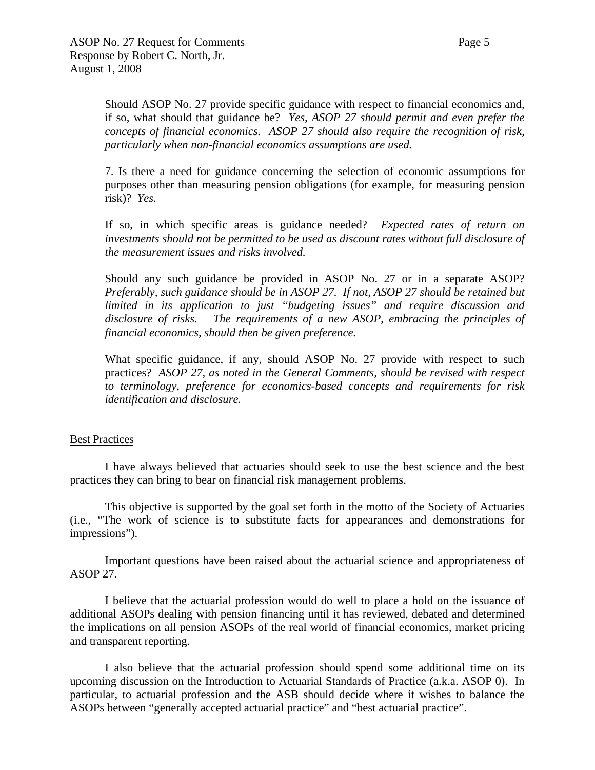7. Is there a need for guidance concerning the selection of economic assumptions for purposes other than measuring pension obligations (for example, for measuring pension risk)? *Yes.* 

If so, in which specific areas is guidance needed? *Expected rates of return on investments should not be permitted to be used as discount rates without full disclosure of the measurement issues and risks involved.* 

Should any such guidance be provided in ASOP No. 27 or in a separate ASOP? *Preferably, such guidance should be in ASOP 27. If not, ASOP 27 should be retained but limited in its application to just "budgeting issues" and require discussion and disclosure of risks. The requirements of a new ASOP, embracing the principles of financial economics, should then be given preference.* 

What specific guidance, if any, should ASOP No. 27 provide with respect to such practices? *ASOP 27, as noted in the General Comments, should be revised with respect to terminology, preference for economics-based concepts and requirements for risk identification and disclosure.* 

# Best Practices

I have always believed that actuaries should seek to use the best science and the best practices they can bring to bear on financial risk management problems.

This objective is supported by the goal set forth in the motto of the Society of Actuaries (i.e., "The work of science is to substitute facts for appearances and demonstrations for impressions").

Important questions have been raised about the actuarial science and appropriateness of ASOP 27.

I believe that the actuarial profession would do well to place a hold on the issuance of additional ASOPs dealing with pension financing until it has reviewed, debated and determined the implications on all pension ASOPs of the real world of financial economics, market pricing and transparent reporting.

I also believe that the actuarial profession should spend some additional time on its upcoming discussion on the Introduction to Actuarial Standards of Practice (a.k.a. ASOP 0). In particular, to actuarial profession and the ASB should decide where it wishes to balance the ASOPs between "generally accepted actuarial practice" and "best actuarial practice".